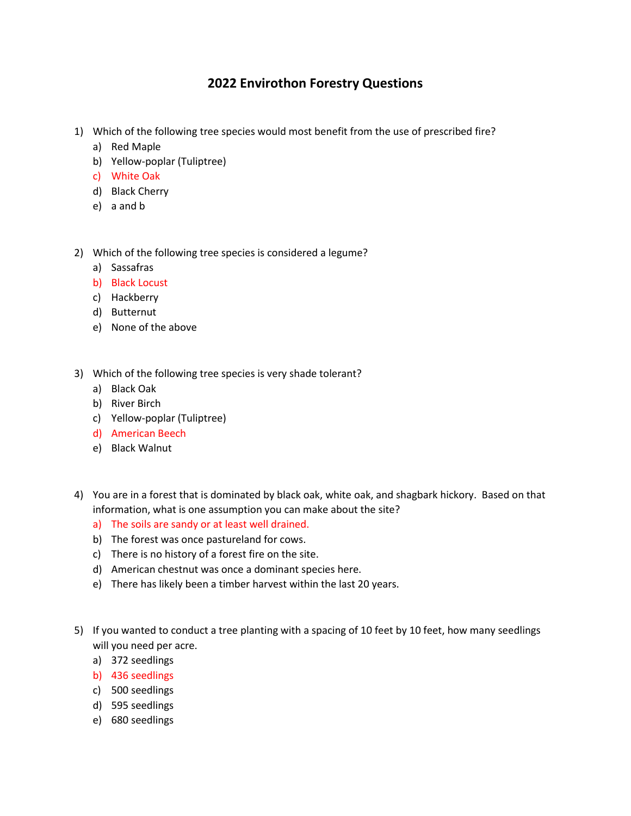## **2022 Envirothon Forestry Questions**

- 1) Which of the following tree species would most benefit from the use of prescribed fire?
	- a) Red Maple
	- b) Yellow-poplar (Tuliptree)
	- c) White Oak
	- d) Black Cherry
	- e) a and b
- 2) Which of the following tree species is considered a legume?
	- a) Sassafras
	- b) Black Locust
	- c) Hackberry
	- d) Butternut
	- e) None of the above
- 3) Which of the following tree species is very shade tolerant?
	- a) Black Oak
	- b) River Birch
	- c) Yellow-poplar (Tuliptree)
	- d) American Beech
	- e) Black Walnut
- 4) You are in a forest that is dominated by black oak, white oak, and shagbark hickory. Based on that information, what is one assumption you can make about the site?
	- a) The soils are sandy or at least well drained.
	- b) The forest was once pastureland for cows.
	- c) There is no history of a forest fire on the site.
	- d) American chestnut was once a dominant species here.
	- e) There has likely been a timber harvest within the last 20 years.
- 5) If you wanted to conduct a tree planting with a spacing of 10 feet by 10 feet, how many seedlings will you need per acre.
	- a) 372 seedlings
	- b) 436 seedlings
	- c) 500 seedlings
	- d) 595 seedlings
	- e) 680 seedlings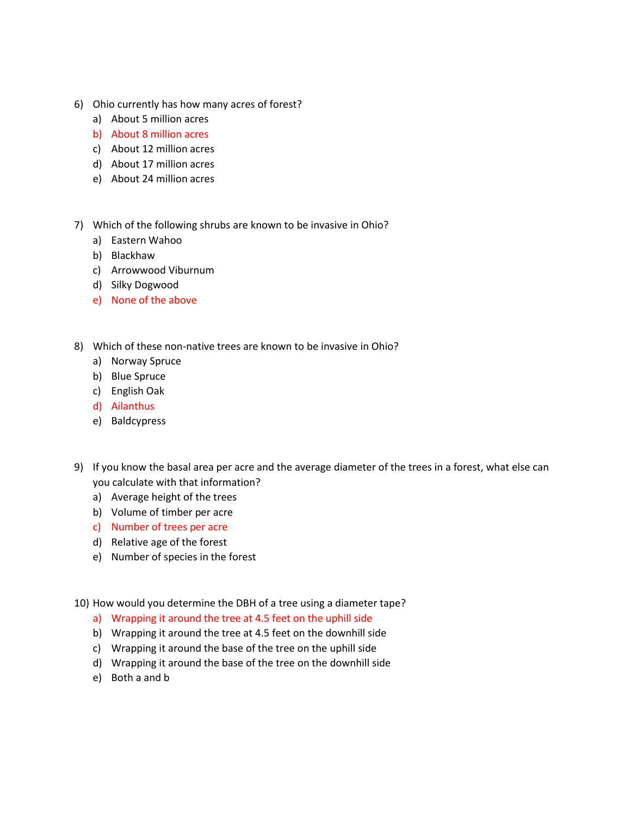- 6) Ohio currently has how many acres of forest?
	- a) About 5 million acres
	- b) About 8 million acres
	- c) About 12 million acres
	- d) About 17 million acres
	- e) About 24 million acres
- 7) Which of the following shrubs are known to be invasive in Ohio?
	- a) Eastern Wahoo
	- b) Blackhaw
	- c) Arrowwood Viburnum
	- d) Silky Dogwood
	- e) None of the above
- 8) Which of these non-native trees are known to be invasive in Ohio?
	- a) Norway Spruce
	- b) Blue Spruce
	- c) English Oak
	- d) Ailanthus
	- e) Baldcypress
- 9) If you know the basal area per acre and the average diameter of the trees in a forest, what else can you calculate with that information?
	- a) Average height of the trees
	- b) Volume of timber per acre
	- c) Number of trees per acre
	- d) Relative age of the forest
	- e) Number of species in the forest
- 10) How would you determine the DBH of a tree using a diameter tape?
	- a) Wrapping it around the tree at 4.5 feet on the uphill side
	- b) Wrapping it around the tree at 4.5 feet on the downhill side
	- c) Wrapping it around the base of the tree on the uphill side
	- d) Wrapping it around the base of the tree on the downhill side
	- e) Both a and b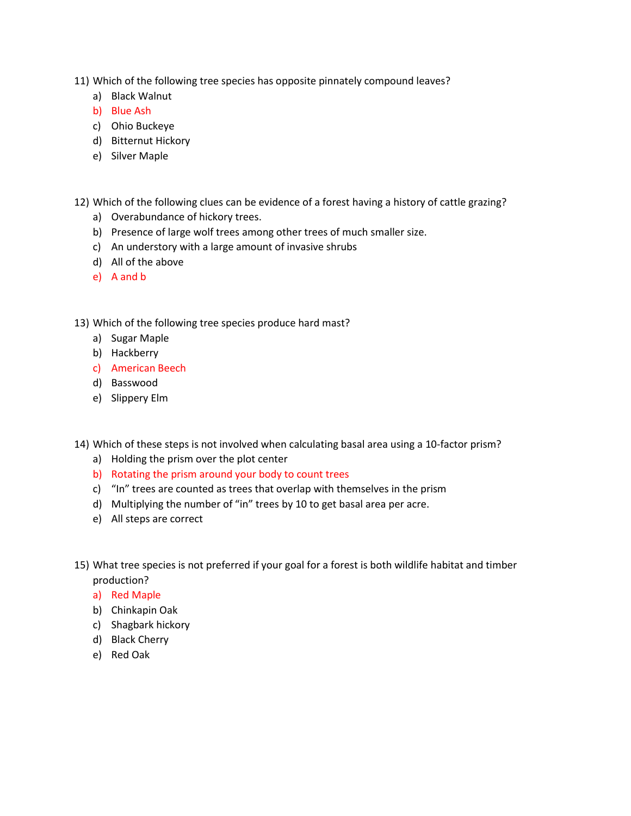- 11) Which of the following tree species has opposite pinnately compound leaves?
	- a) Black Walnut
	- b) Blue Ash
	- c) Ohio Buckeye
	- d) Bitternut Hickory
	- e) Silver Maple
- 12) Which of the following clues can be evidence of a forest having a history of cattle grazing?
	- a) Overabundance of hickory trees.
	- b) Presence of large wolf trees among other trees of much smaller size.
	- c) An understory with a large amount of invasive shrubs
	- d) All of the above
	- e) A and b
- 13) Which of the following tree species produce hard mast?
	- a) Sugar Maple
	- b) Hackberry
	- c) American Beech
	- d) Basswood
	- e) Slippery Elm
- 14) Which of these steps is not involved when calculating basal area using a 10-factor prism?
	- a) Holding the prism over the plot center
	- b) Rotating the prism around your body to count trees
	- c) "In" trees are counted as trees that overlap with themselves in the prism
	- d) Multiplying the number of "in" trees by 10 to get basal area per acre.
	- e) All steps are correct
- 15) What tree species is not preferred if your goal for a forest is both wildlife habitat and timber production?
	- a) Red Maple
	- b) Chinkapin Oak
	- c) Shagbark hickory
	- d) Black Cherry
	- e) Red Oak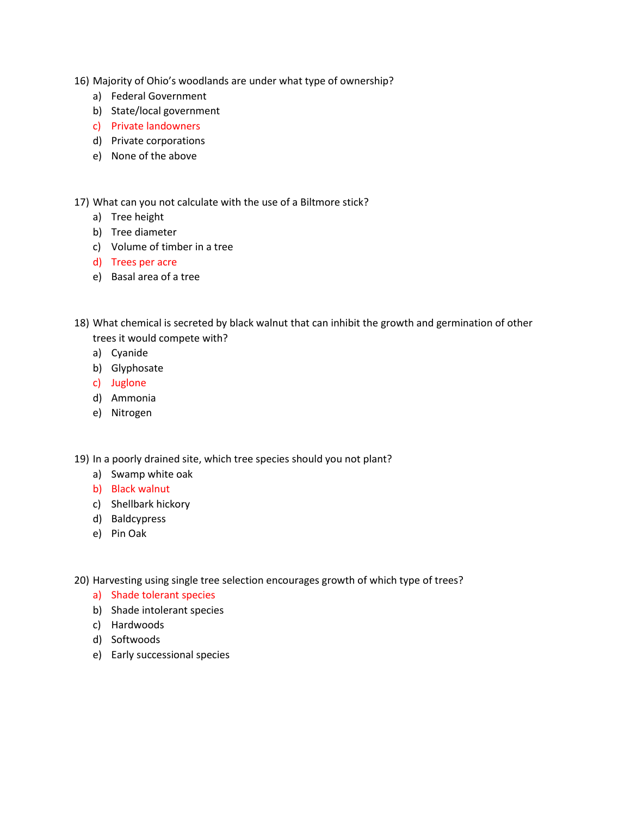- 16) Majority of Ohio's woodlands are under what type of ownership?
	- a) Federal Government
	- b) State/local government
	- c) Private landowners
	- d) Private corporations
	- e) None of the above

17) What can you not calculate with the use of a Biltmore stick?

- a) Tree height
- b) Tree diameter
- c) Volume of timber in a tree
- d) Trees per acre
- e) Basal area of a tree
- 18) What chemical is secreted by black walnut that can inhibit the growth and germination of other trees it would compete with?
	- a) Cyanide
	- b) Glyphosate
	- c) Juglone
	- d) Ammonia
	- e) Nitrogen

19) In a poorly drained site, which tree species should you not plant?

- a) Swamp white oak
- b) Black walnut
- c) Shellbark hickory
- d) Baldcypress
- e) Pin Oak
- 20) Harvesting using single tree selection encourages growth of which type of trees?
	- a) Shade tolerant species
	- b) Shade intolerant species
	- c) Hardwoods
	- d) Softwoods
	- e) Early successional species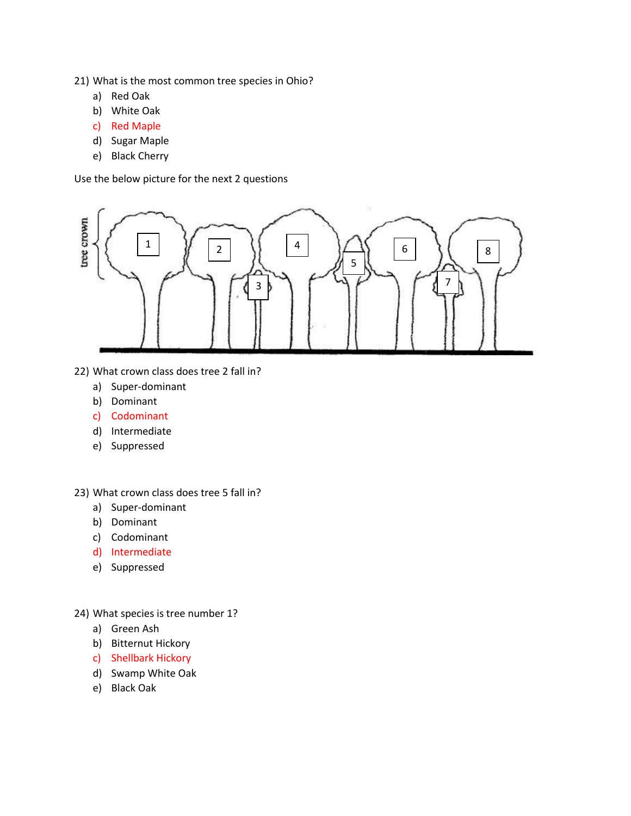21) What is the most common tree species in Ohio?

- a) Red Oak
- b) White Oak
- c) Red Maple
- d) Sugar Maple
- e) Black Cherry

Use the below picture for the next 2 questions



- 22) What crown class does tree 2 fall in?
	- a) Super-dominant
	- b) Dominant
	- c) Codominant
	- d) Intermediate
	- e) Suppressed

23) What crown class does tree 5 fall in?

- a) Super-dominant
- b) Dominant
- c) Codominant
- d) Intermediate
- e) Suppressed

24) What species is tree number 1?

- a) Green Ash
- b) Bitternut Hickory
- c) Shellbark Hickory
- d) Swamp White Oak
- e) Black Oak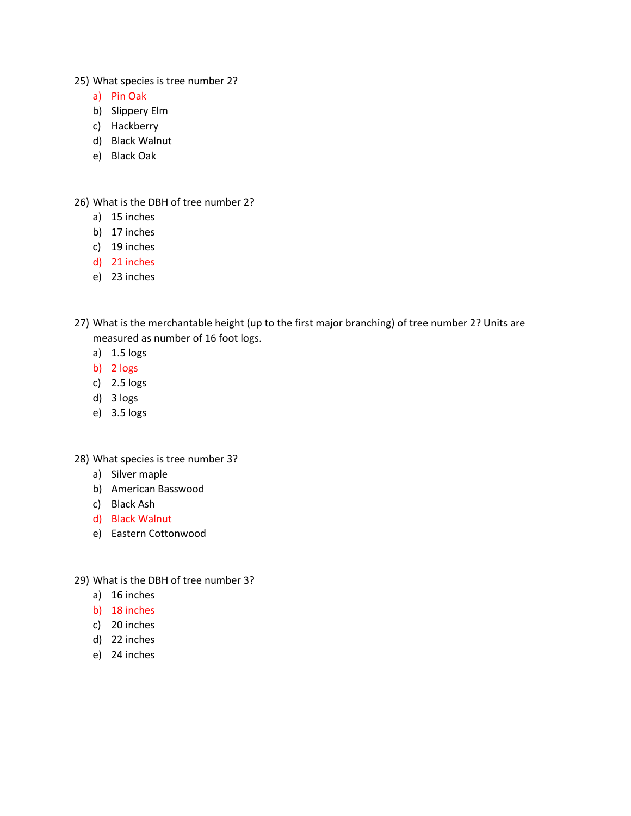25) What species is tree number 2?

- a) Pin Oak
- b) Slippery Elm
- c) Hackberry
- d) Black Walnut
- e) Black Oak

26) What is the DBH of tree number 2?

- a) 15 inches
- b) 17 inches
- c) 19 inches
- d) 21 inches
- e) 23 inches
- 27) What is the merchantable height (up to the first major branching) of tree number 2? Units are measured as number of 16 foot logs.
	- a) 1.5 logs
	- b) 2 logs
	- c) 2.5 logs
	- d) 3 logs
	- e) 3.5 logs

28) What species is tree number 3?

- a) Silver maple
- b) American Basswood
- c) Black Ash
- d) Black Walnut
- e) Eastern Cottonwood
- 29) What is the DBH of tree number 3?
	- a) 16 inches
	- b) 18 inches
	- c) 20 inches
	- d) 22 inches
	- e) 24 inches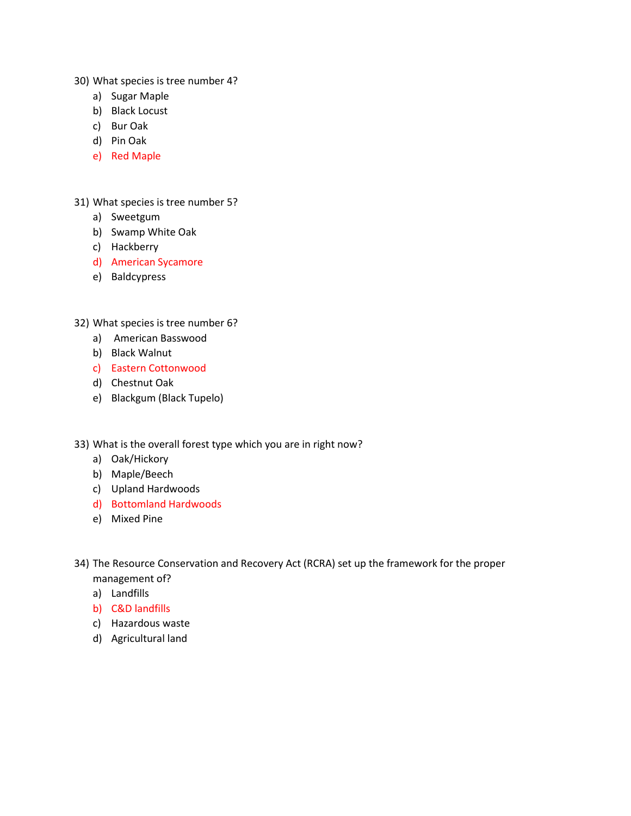- 30) What species is tree number 4?
	- a) Sugar Maple
	- b) Black Locust
	- c) Bur Oak
	- d) Pin Oak
	- e) Red Maple

31) What species is tree number 5?

- a) Sweetgum
- b) Swamp White Oak
- c) Hackberry
- d) American Sycamore
- e) Baldcypress

32) What species is tree number 6?

- a) American Basswood
- b) Black Walnut
- c) Eastern Cottonwood
- d) Chestnut Oak
- e) Blackgum (Black Tupelo)
- 33) What is the overall forest type which you are in right now?
	- a) Oak/Hickory
	- b) Maple/Beech
	- c) Upland Hardwoods
	- d) Bottomland Hardwoods
	- e) Mixed Pine
- 34) The Resource Conservation and Recovery Act (RCRA) set up the framework for the proper management of?
	- a) Landfills
	- b) C&D landfills
	- c) Hazardous waste
	- d) Agricultural land